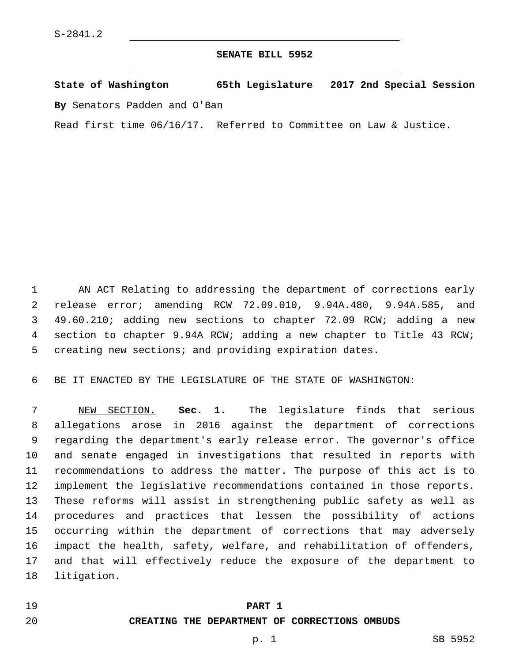### **SENATE BILL 5952**

**State of Washington 65th Legislature 2017 2nd Special Session By** Senators Padden and O'Ban

Read first time 06/16/17. Referred to Committee on Law & Justice.

 AN ACT Relating to addressing the department of corrections early release error; amending RCW 72.09.010, 9.94A.480, 9.94A.585, and 49.60.210; adding new sections to chapter 72.09 RCW; adding a new section to chapter 9.94A RCW; adding a new chapter to Title 43 RCW; creating new sections; and providing expiration dates.

BE IT ENACTED BY THE LEGISLATURE OF THE STATE OF WASHINGTON:

 NEW SECTION. **Sec. 1.** The legislature finds that serious allegations arose in 2016 against the department of corrections regarding the department's early release error. The governor's office and senate engaged in investigations that resulted in reports with recommendations to address the matter. The purpose of this act is to implement the legislative recommendations contained in those reports. These reforms will assist in strengthening public safety as well as procedures and practices that lessen the possibility of actions occurring within the department of corrections that may adversely impact the health, safety, welfare, and rehabilitation of offenders, and that will effectively reduce the exposure of the department to 18 litigation.

#### **PART 1**

## **CREATING THE DEPARTMENT OF CORRECTIONS OMBUDS**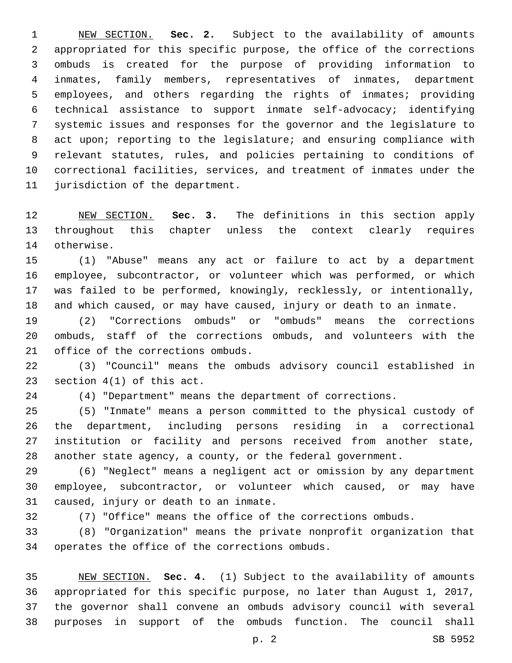NEW SECTION. **Sec. 2.** Subject to the availability of amounts appropriated for this specific purpose, the office of the corrections ombuds is created for the purpose of providing information to inmates, family members, representatives of inmates, department employees, and others regarding the rights of inmates; providing technical assistance to support inmate self-advocacy; identifying systemic issues and responses for the governor and the legislature to 8 act upon; reporting to the legislature; and ensuring compliance with relevant statutes, rules, and policies pertaining to conditions of correctional facilities, services, and treatment of inmates under the jurisdiction of the department.

 NEW SECTION. **Sec. 3.** The definitions in this section apply throughout this chapter unless the context clearly requires otherwise.

 (1) "Abuse" means any act or failure to act by a department employee, subcontractor, or volunteer which was performed, or which was failed to be performed, knowingly, recklessly, or intentionally, and which caused, or may have caused, injury or death to an inmate.

 (2) "Corrections ombuds" or "ombuds" means the corrections ombuds, staff of the corrections ombuds, and volunteers with the 21 office of the corrections ombuds.

 (3) "Council" means the ombuds advisory council established in 23 section  $4(1)$  of this act.

(4) "Department" means the department of corrections.

 (5) "Inmate" means a person committed to the physical custody of the department, including persons residing in a correctional institution or facility and persons received from another state, another state agency, a county, or the federal government.

 (6) "Neglect" means a negligent act or omission by any department employee, subcontractor, or volunteer which caused, or may have 31 caused, injury or death to an inmate.

(7) "Office" means the office of the corrections ombuds.

 (8) "Organization" means the private nonprofit organization that 34 operates the office of the corrections ombuds.

 NEW SECTION. **Sec. 4.** (1) Subject to the availability of amounts appropriated for this specific purpose, no later than August 1, 2017, the governor shall convene an ombuds advisory council with several purposes in support of the ombuds function. The council shall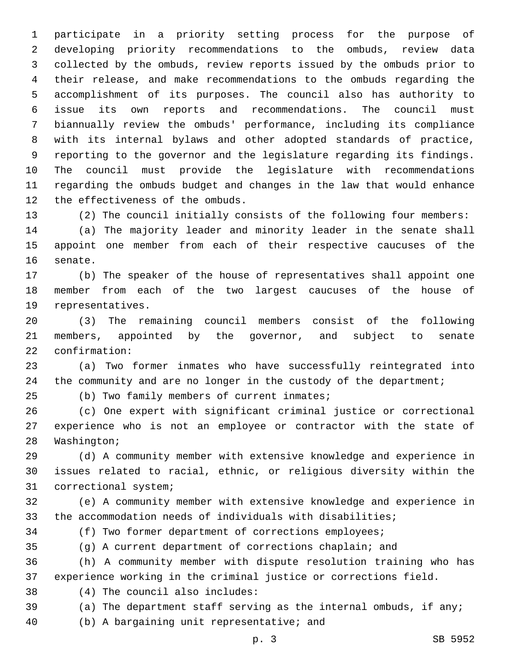participate in a priority setting process for the purpose of developing priority recommendations to the ombuds, review data collected by the ombuds, review reports issued by the ombuds prior to their release, and make recommendations to the ombuds regarding the accomplishment of its purposes. The council also has authority to issue its own reports and recommendations. The council must biannually review the ombuds' performance, including its compliance with its internal bylaws and other adopted standards of practice, reporting to the governor and the legislature regarding its findings. The council must provide the legislature with recommendations regarding the ombuds budget and changes in the law that would enhance 12 the effectiveness of the ombuds.

 (2) The council initially consists of the following four members: (a) The majority leader and minority leader in the senate shall appoint one member from each of their respective caucuses of the 16 senate.

 (b) The speaker of the house of representatives shall appoint one member from each of the two largest caucuses of the house of 19 representatives.

 (3) The remaining council members consist of the following members, appointed by the governor, and subject to senate 22 confirmation:

 (a) Two former inmates who have successfully reintegrated into 24 the community and are no longer in the custody of the department;

(b) Two family members of current inmates;

 (c) One expert with significant criminal justice or correctional experience who is not an employee or contractor with the state of 28 Washington;

 (d) A community member with extensive knowledge and experience in issues related to racial, ethnic, or religious diversity within the 31 correctional system;

 (e) A community member with extensive knowledge and experience in the accommodation needs of individuals with disabilities;

(f) Two former department of corrections employees;

(g) A current department of corrections chaplain; and

 (h) A community member with dispute resolution training who has experience working in the criminal justice or corrections field.

(4) The council also includes:38

(a) The department staff serving as the internal ombuds, if any;

40 (b) A bargaining unit representative; and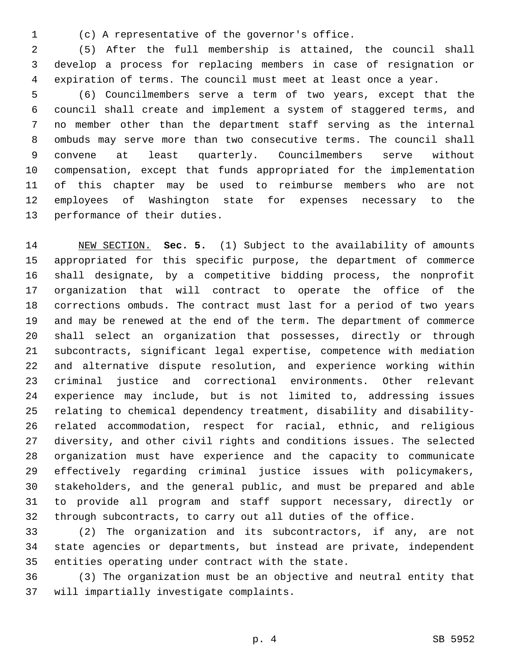(c) A representative of the governor's office.1

 (5) After the full membership is attained, the council shall develop a process for replacing members in case of resignation or expiration of terms. The council must meet at least once a year.

 (6) Councilmembers serve a term of two years, except that the council shall create and implement a system of staggered terms, and no member other than the department staff serving as the internal ombuds may serve more than two consecutive terms. The council shall convene at least quarterly. Councilmembers serve without compensation, except that funds appropriated for the implementation of this chapter may be used to reimburse members who are not employees of Washington state for expenses necessary to the 13 performance of their duties.

 NEW SECTION. **Sec. 5.** (1) Subject to the availability of amounts appropriated for this specific purpose, the department of commerce shall designate, by a competitive bidding process, the nonprofit organization that will contract to operate the office of the corrections ombuds. The contract must last for a period of two years and may be renewed at the end of the term. The department of commerce shall select an organization that possesses, directly or through subcontracts, significant legal expertise, competence with mediation and alternative dispute resolution, and experience working within criminal justice and correctional environments. Other relevant experience may include, but is not limited to, addressing issues relating to chemical dependency treatment, disability and disability- related accommodation, respect for racial, ethnic, and religious diversity, and other civil rights and conditions issues. The selected organization must have experience and the capacity to communicate effectively regarding criminal justice issues with policymakers, stakeholders, and the general public, and must be prepared and able to provide all program and staff support necessary, directly or through subcontracts, to carry out all duties of the office.

 (2) The organization and its subcontractors, if any, are not state agencies or departments, but instead are private, independent 35 entities operating under contract with the state.

 (3) The organization must be an objective and neutral entity that 37 will impartially investigate complaints.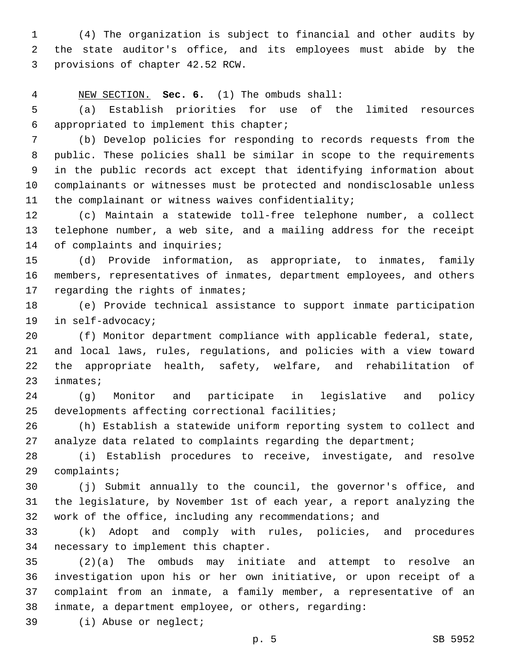(4) The organization is subject to financial and other audits by the state auditor's office, and its employees must abide by the 3 provisions of chapter 42.52 RCW.

NEW SECTION. **Sec. 6.** (1) The ombuds shall:

 (a) Establish priorities for use of the limited resources appropriated to implement this chapter;6

 (b) Develop policies for responding to records requests from the public. These policies shall be similar in scope to the requirements in the public records act except that identifying information about complainants or witnesses must be protected and nondisclosable unless the complainant or witness waives confidentiality;

 (c) Maintain a statewide toll-free telephone number, a collect telephone number, a web site, and a mailing address for the receipt 14 of complaints and inquiries;

 (d) Provide information, as appropriate, to inmates, family members, representatives of inmates, department employees, and others 17 regarding the rights of inmates;

 (e) Provide technical assistance to support inmate participation 19 in self-advocacy;

 (f) Monitor department compliance with applicable federal, state, and local laws, rules, regulations, and policies with a view toward the appropriate health, safety, welfare, and rehabilitation of 23 inmates;

 (g) Monitor and participate in legislative and policy 25 developments affecting correctional facilities;

 (h) Establish a statewide uniform reporting system to collect and analyze data related to complaints regarding the department;

 (i) Establish procedures to receive, investigate, and resolve 29 complaints;

 (j) Submit annually to the council, the governor's office, and the legislature, by November 1st of each year, a report analyzing the work of the office, including any recommendations; and

 (k) Adopt and comply with rules, policies, and procedures 34 necessary to implement this chapter.

 (2)(a) The ombuds may initiate and attempt to resolve an investigation upon his or her own initiative, or upon receipt of a complaint from an inmate, a family member, a representative of an inmate, a department employee, or others, regarding:

39 (i) Abuse or neglect;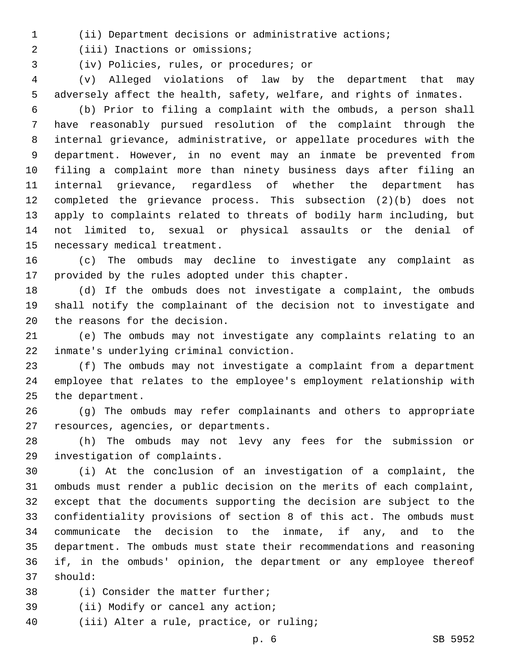(ii) Department decisions or administrative actions;

2 (iii) Inactions or omissions;

(iv) Policies, rules, or procedures; or3

 (v) Alleged violations of law by the department that may adversely affect the health, safety, welfare, and rights of inmates.

 (b) Prior to filing a complaint with the ombuds, a person shall have reasonably pursued resolution of the complaint through the internal grievance, administrative, or appellate procedures with the department. However, in no event may an inmate be prevented from filing a complaint more than ninety business days after filing an internal grievance, regardless of whether the department has completed the grievance process. This subsection (2)(b) does not apply to complaints related to threats of bodily harm including, but not limited to, sexual or physical assaults or the denial of 15 necessary medical treatment.

 (c) The ombuds may decline to investigate any complaint as 17 provided by the rules adopted under this chapter.

 (d) If the ombuds does not investigate a complaint, the ombuds shall notify the complainant of the decision not to investigate and 20 the reasons for the decision.

 (e) The ombuds may not investigate any complaints relating to an inmate's underlying criminal conviction.22

 (f) The ombuds may not investigate a complaint from a department employee that relates to the employee's employment relationship with 25 the department.

 (g) The ombuds may refer complainants and others to appropriate 27 resources, agencies, or departments.

 (h) The ombuds may not levy any fees for the submission or 29 investigation of complaints.

 (i) At the conclusion of an investigation of a complaint, the ombuds must render a public decision on the merits of each complaint, except that the documents supporting the decision are subject to the confidentiality provisions of section 8 of this act. The ombuds must communicate the decision to the inmate, if any, and to the department. The ombuds must state their recommendations and reasoning if, in the ombuds' opinion, the department or any employee thereof 37 should:

38 (i) Consider the matter further;

- 39 (ii) Modify or cancel any action;
- 40 (iii) Alter a rule, practice, or ruling;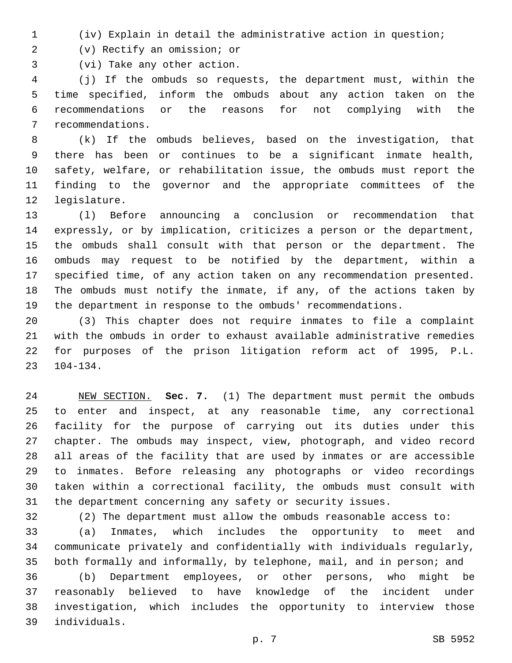(iv) Explain in detail the administrative action in question;

(v) Rectify an omission; or2

3 (vi) Take any other action.

 (j) If the ombuds so requests, the department must, within the time specified, inform the ombuds about any action taken on the recommendations or the reasons for not complying with the 7 recommendations.

 (k) If the ombuds believes, based on the investigation, that there has been or continues to be a significant inmate health, safety, welfare, or rehabilitation issue, the ombuds must report the finding to the governor and the appropriate committees of the 12 legislature.

 (l) Before announcing a conclusion or recommendation that expressly, or by implication, criticizes a person or the department, the ombuds shall consult with that person or the department. The ombuds may request to be notified by the department, within a specified time, of any action taken on any recommendation presented. The ombuds must notify the inmate, if any, of the actions taken by the department in response to the ombuds' recommendations.

 (3) This chapter does not require inmates to file a complaint with the ombuds in order to exhaust available administrative remedies for purposes of the prison litigation reform act of 1995, P.L.  $23 \quad 104-134$ .

 NEW SECTION. **Sec. 7.** (1) The department must permit the ombuds to enter and inspect, at any reasonable time, any correctional facility for the purpose of carrying out its duties under this chapter. The ombuds may inspect, view, photograph, and video record all areas of the facility that are used by inmates or are accessible to inmates. Before releasing any photographs or video recordings taken within a correctional facility, the ombuds must consult with the department concerning any safety or security issues.

(2) The department must allow the ombuds reasonable access to:

 (a) Inmates, which includes the opportunity to meet and communicate privately and confidentially with individuals regularly, both formally and informally, by telephone, mail, and in person; and

 (b) Department employees, or other persons, who might be reasonably believed to have knowledge of the incident under investigation, which includes the opportunity to interview those individuals.39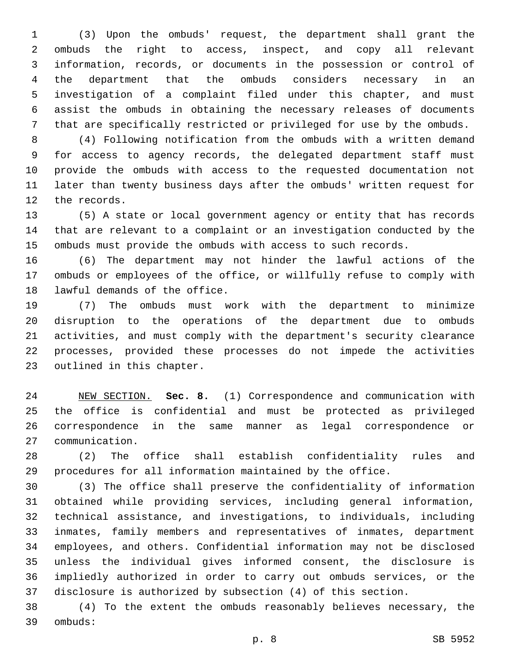(3) Upon the ombuds' request, the department shall grant the ombuds the right to access, inspect, and copy all relevant information, records, or documents in the possession or control of the department that the ombuds considers necessary in an investigation of a complaint filed under this chapter, and must assist the ombuds in obtaining the necessary releases of documents that are specifically restricted or privileged for use by the ombuds.

 (4) Following notification from the ombuds with a written demand for access to agency records, the delegated department staff must provide the ombuds with access to the requested documentation not later than twenty business days after the ombuds' written request for 12 the records.

 (5) A state or local government agency or entity that has records that are relevant to a complaint or an investigation conducted by the ombuds must provide the ombuds with access to such records.

 (6) The department may not hinder the lawful actions of the ombuds or employees of the office, or willfully refuse to comply with 18 lawful demands of the office.

 (7) The ombuds must work with the department to minimize disruption to the operations of the department due to ombuds activities, and must comply with the department's security clearance processes, provided these processes do not impede the activities 23 outlined in this chapter.

 NEW SECTION. **Sec. 8.** (1) Correspondence and communication with the office is confidential and must be protected as privileged correspondence in the same manner as legal correspondence or communication.

 (2) The office shall establish confidentiality rules and procedures for all information maintained by the office.

 (3) The office shall preserve the confidentiality of information obtained while providing services, including general information, technical assistance, and investigations, to individuals, including inmates, family members and representatives of inmates, department employees, and others. Confidential information may not be disclosed unless the individual gives informed consent, the disclosure is impliedly authorized in order to carry out ombuds services, or the disclosure is authorized by subsection (4) of this section.

 (4) To the extent the ombuds reasonably believes necessary, the ombuds:39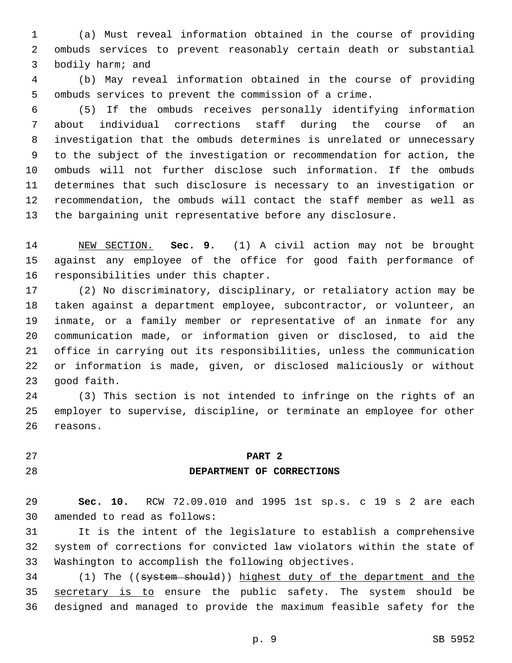(a) Must reveal information obtained in the course of providing ombuds services to prevent reasonably certain death or substantial 3 bodily harm; and

 (b) May reveal information obtained in the course of providing ombuds services to prevent the commission of a crime.

 (5) If the ombuds receives personally identifying information about individual corrections staff during the course of an investigation that the ombuds determines is unrelated or unnecessary to the subject of the investigation or recommendation for action, the ombuds will not further disclose such information. If the ombuds determines that such disclosure is necessary to an investigation or recommendation, the ombuds will contact the staff member as well as the bargaining unit representative before any disclosure.

 NEW SECTION. **Sec. 9.** (1) A civil action may not be brought against any employee of the office for good faith performance of responsibilities under this chapter.

 (2) No discriminatory, disciplinary, or retaliatory action may be taken against a department employee, subcontractor, or volunteer, an inmate, or a family member or representative of an inmate for any communication made, or information given or disclosed, to aid the office in carrying out its responsibilities, unless the communication or information is made, given, or disclosed maliciously or without 23 good faith.

 (3) This section is not intended to infringe on the rights of an employer to supervise, discipline, or terminate an employee for other 26 reasons.

## **PART 2**

#### **DEPARTMENT OF CORRECTIONS**

 **Sec. 10.** RCW 72.09.010 and 1995 1st sp.s. c 19 s 2 are each 30 amended to read as follows:

 It is the intent of the legislature to establish a comprehensive system of corrections for convicted law violators within the state of Washington to accomplish the following objectives.

34 (1) The ((system should)) highest duty of the department and the 35 secretary is to ensure the public safety. The system should be designed and managed to provide the maximum feasible safety for the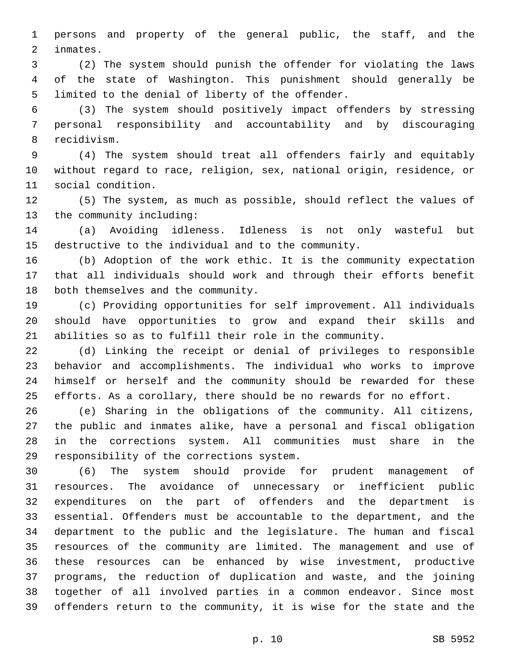persons and property of the general public, the staff, and the 2 inmates.

 (2) The system should punish the offender for violating the laws of the state of Washington. This punishment should generally be 5 limited to the denial of liberty of the offender.

 (3) The system should positively impact offenders by stressing personal responsibility and accountability and by discouraging 8 recidivism.

 (4) The system should treat all offenders fairly and equitably without regard to race, religion, sex, national origin, residence, or 11 social condition.

 (5) The system, as much as possible, should reflect the values of 13 the community including:

 (a) Avoiding idleness. Idleness is not only wasteful but destructive to the individual and to the community.

 (b) Adoption of the work ethic. It is the community expectation that all individuals should work and through their efforts benefit 18 both themselves and the community.

 (c) Providing opportunities for self improvement. All individuals should have opportunities to grow and expand their skills and abilities so as to fulfill their role in the community.

 (d) Linking the receipt or denial of privileges to responsible behavior and accomplishments. The individual who works to improve himself or herself and the community should be rewarded for these efforts. As a corollary, there should be no rewards for no effort.

 (e) Sharing in the obligations of the community. All citizens, the public and inmates alike, have a personal and fiscal obligation in the corrections system. All communities must share in the 29 responsibility of the corrections system.

 (6) The system should provide for prudent management of resources. The avoidance of unnecessary or inefficient public expenditures on the part of offenders and the department is essential. Offenders must be accountable to the department, and the department to the public and the legislature. The human and fiscal resources of the community are limited. The management and use of these resources can be enhanced by wise investment, productive programs, the reduction of duplication and waste, and the joining together of all involved parties in a common endeavor. Since most offenders return to the community, it is wise for the state and the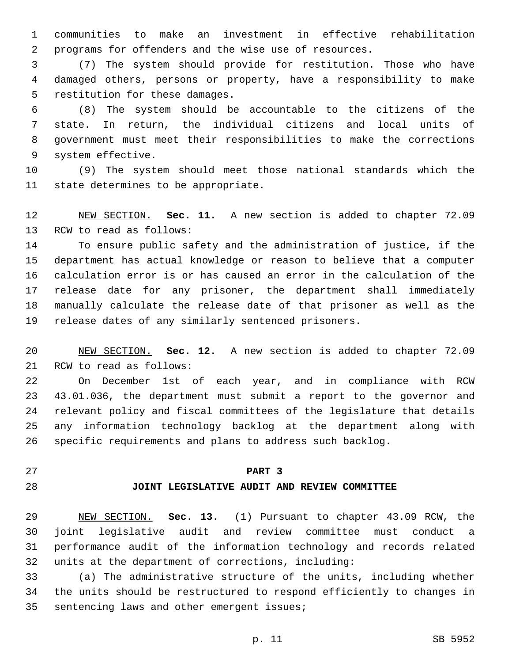communities to make an investment in effective rehabilitation programs for offenders and the wise use of resources.

 (7) The system should provide for restitution. Those who have damaged others, persons or property, have a responsibility to make 5 restitution for these damages.

 (8) The system should be accountable to the citizens of the state. In return, the individual citizens and local units of government must meet their responsibilities to make the corrections 9 system effective.

 (9) The system should meet those national standards which the 11 state determines to be appropriate.

 NEW SECTION. **Sec. 11.** A new section is added to chapter 72.09 13 RCW to read as follows:

 To ensure public safety and the administration of justice, if the department has actual knowledge or reason to believe that a computer calculation error is or has caused an error in the calculation of the release date for any prisoner, the department shall immediately manually calculate the release date of that prisoner as well as the release dates of any similarly sentenced prisoners.

 NEW SECTION. **Sec. 12.** A new section is added to chapter 72.09 21 RCW to read as follows:

 On December 1st of each year, and in compliance with RCW 43.01.036, the department must submit a report to the governor and relevant policy and fiscal committees of the legislature that details any information technology backlog at the department along with specific requirements and plans to address such backlog.

## **PART 3**

#### **JOINT LEGISLATIVE AUDIT AND REVIEW COMMITTEE**

 NEW SECTION. **Sec. 13.** (1) Pursuant to chapter 43.09 RCW, the joint legislative audit and review committee must conduct a performance audit of the information technology and records related units at the department of corrections, including:

 (a) The administrative structure of the units, including whether the units should be restructured to respond efficiently to changes in 35 sentencing laws and other emergent issues;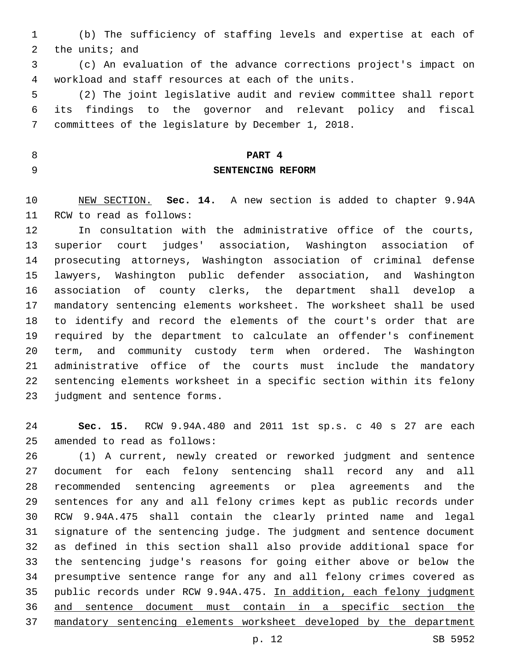(b) The sufficiency of staffing levels and expertise at each of 2 the units; and

 (c) An evaluation of the advance corrections project's impact on workload and staff resources at each of the units.4

 (2) The joint legislative audit and review committee shall report its findings to the governor and relevant policy and fiscal 7 committees of the legislature by December 1, 2018.

# **PART 4 SENTENCING REFORM**

 NEW SECTION. **Sec. 14.** A new section is added to chapter 9.94A 11 RCW to read as follows:

 In consultation with the administrative office of the courts, superior court judges' association, Washington association of prosecuting attorneys, Washington association of criminal defense lawyers, Washington public defender association, and Washington association of county clerks, the department shall develop a mandatory sentencing elements worksheet. The worksheet shall be used to identify and record the elements of the court's order that are required by the department to calculate an offender's confinement term, and community custody term when ordered. The Washington administrative office of the courts must include the mandatory sentencing elements worksheet in a specific section within its felony 23 judgment and sentence forms.

 **Sec. 15.** RCW 9.94A.480 and 2011 1st sp.s. c 40 s 27 are each 25 amended to read as follows:

 (1) A current, newly created or reworked judgment and sentence document for each felony sentencing shall record any and all recommended sentencing agreements or plea agreements and the sentences for any and all felony crimes kept as public records under RCW 9.94A.475 shall contain the clearly printed name and legal signature of the sentencing judge. The judgment and sentence document as defined in this section shall also provide additional space for the sentencing judge's reasons for going either above or below the presumptive sentence range for any and all felony crimes covered as public records under RCW 9.94A.475. In addition, each felony judgment and sentence document must contain in a specific section the mandatory sentencing elements worksheet developed by the department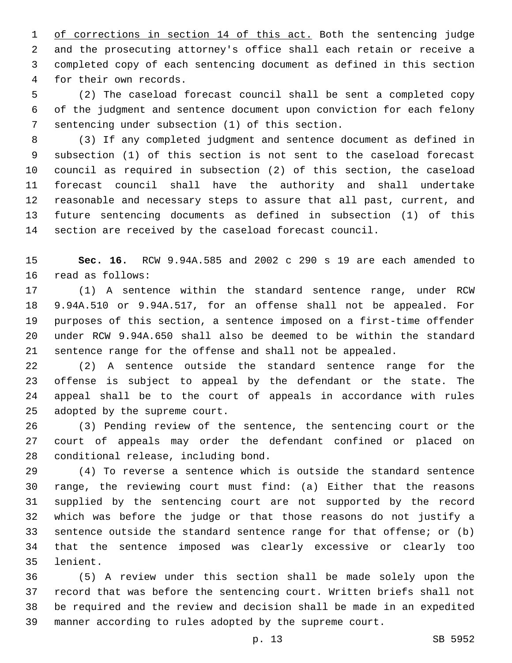1 of corrections in section 14 of this act. Both the sentencing judge and the prosecuting attorney's office shall each retain or receive a completed copy of each sentencing document as defined in this section 4 for their own records.

 (2) The caseload forecast council shall be sent a completed copy of the judgment and sentence document upon conviction for each felony 7 sentencing under subsection (1) of this section.

 (3) If any completed judgment and sentence document as defined in subsection (1) of this section is not sent to the caseload forecast council as required in subsection (2) of this section, the caseload forecast council shall have the authority and shall undertake reasonable and necessary steps to assure that all past, current, and future sentencing documents as defined in subsection (1) of this section are received by the caseload forecast council.

 **Sec. 16.** RCW 9.94A.585 and 2002 c 290 s 19 are each amended to 16 read as follows:

 (1) A sentence within the standard sentence range, under RCW 9.94A.510 or 9.94A.517, for an offense shall not be appealed. For purposes of this section, a sentence imposed on a first-time offender under RCW 9.94A.650 shall also be deemed to be within the standard sentence range for the offense and shall not be appealed.

 (2) A sentence outside the standard sentence range for the offense is subject to appeal by the defendant or the state. The appeal shall be to the court of appeals in accordance with rules 25 adopted by the supreme court.

 (3) Pending review of the sentence, the sentencing court or the court of appeals may order the defendant confined or placed on 28 conditional release, including bond.

 (4) To reverse a sentence which is outside the standard sentence range, the reviewing court must find: (a) Either that the reasons supplied by the sentencing court are not supported by the record which was before the judge or that those reasons do not justify a sentence outside the standard sentence range for that offense; or (b) that the sentence imposed was clearly excessive or clearly too 35 lenient.

 (5) A review under this section shall be made solely upon the record that was before the sentencing court. Written briefs shall not be required and the review and decision shall be made in an expedited manner according to rules adopted by the supreme court.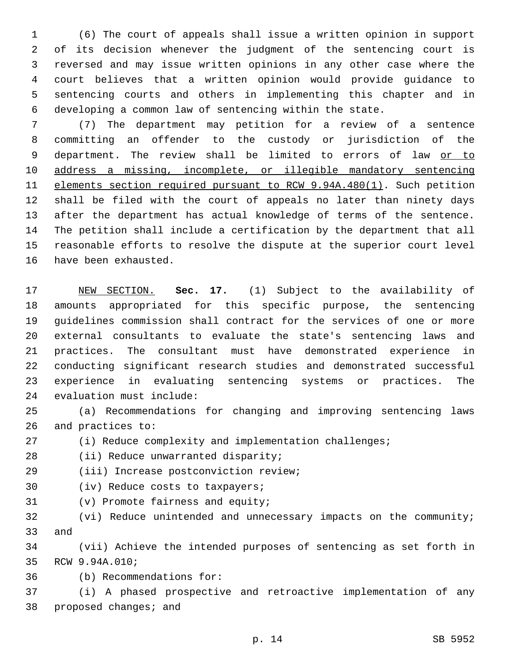(6) The court of appeals shall issue a written opinion in support of its decision whenever the judgment of the sentencing court is reversed and may issue written opinions in any other case where the court believes that a written opinion would provide guidance to sentencing courts and others in implementing this chapter and in developing a common law of sentencing within the state.

 (7) The department may petition for a review of a sentence committing an offender to the custody or jurisdiction of the 9 department. The review shall be limited to errors of law or to address a missing, incomplete, or illegible mandatory sentencing elements section required pursuant to RCW 9.94A.480(1). Such petition shall be filed with the court of appeals no later than ninety days after the department has actual knowledge of terms of the sentence. The petition shall include a certification by the department that all reasonable efforts to resolve the dispute at the superior court level 16 have been exhausted.

 NEW SECTION. **Sec. 17.** (1) Subject to the availability of amounts appropriated for this specific purpose, the sentencing guidelines commission shall contract for the services of one or more external consultants to evaluate the state's sentencing laws and practices. The consultant must have demonstrated experience in conducting significant research studies and demonstrated successful experience in evaluating sentencing systems or practices. The evaluation must include:

 (a) Recommendations for changing and improving sentencing laws 26 and practices to:

(i) Reduce complexity and implementation challenges;

28 (ii) Reduce unwarranted disparity;

(iii) Increase postconviction review;29

30 (iv) Reduce costs to taxpayers;

31 (v) Promote fairness and equity;

 (vi) Reduce unintended and unnecessary impacts on the community; 33 and

 (vii) Achieve the intended purposes of sentencing as set forth in 35 RCW 9.94A.010;

(b) Recommendations for:36

 (i) A phased prospective and retroactive implementation of any 38 proposed changes; and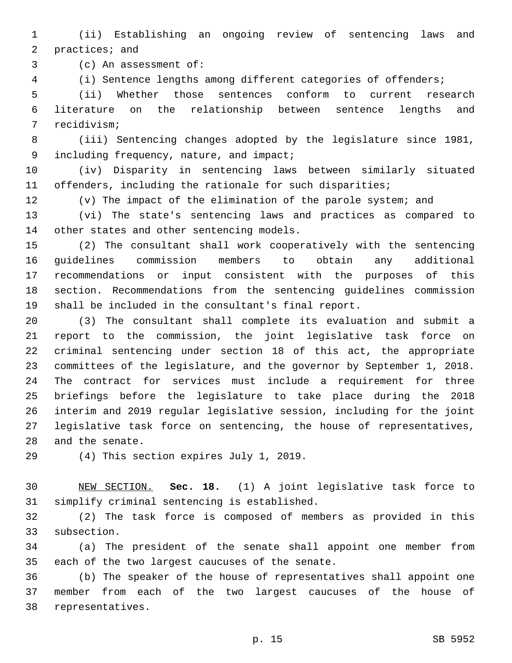(ii) Establishing an ongoing review of sentencing laws and 2 practices; and

3 (c) An assessment of:

(i) Sentence lengths among different categories of offenders;

 (ii) Whether those sentences conform to current research literature on the relationship between sentence lengths and 7 recidivism;

 (iii) Sentencing changes adopted by the legislature since 1981, 9 including frequency, nature, and impact;

 (iv) Disparity in sentencing laws between similarly situated offenders, including the rationale for such disparities;

(v) The impact of the elimination of the parole system; and

 (vi) The state's sentencing laws and practices as compared to 14 other states and other sentencing models.

 (2) The consultant shall work cooperatively with the sentencing guidelines commission members to obtain any additional recommendations or input consistent with the purposes of this section. Recommendations from the sentencing guidelines commission shall be included in the consultant's final report.

 (3) The consultant shall complete its evaluation and submit a report to the commission, the joint legislative task force on criminal sentencing under section 18 of this act, the appropriate committees of the legislature, and the governor by September 1, 2018. The contract for services must include a requirement for three briefings before the legislature to take place during the 2018 interim and 2019 regular legislative session, including for the joint legislative task force on sentencing, the house of representatives, 28 and the senate.

29 (4) This section expires July 1, 2019.

 NEW SECTION. **Sec. 18.** (1) A joint legislative task force to simplify criminal sentencing is established.

 (2) The task force is composed of members as provided in this 33 subsection.

 (a) The president of the senate shall appoint one member from 35 each of the two largest caucuses of the senate.

 (b) The speaker of the house of representatives shall appoint one member from each of the two largest caucuses of the house of 38 representatives.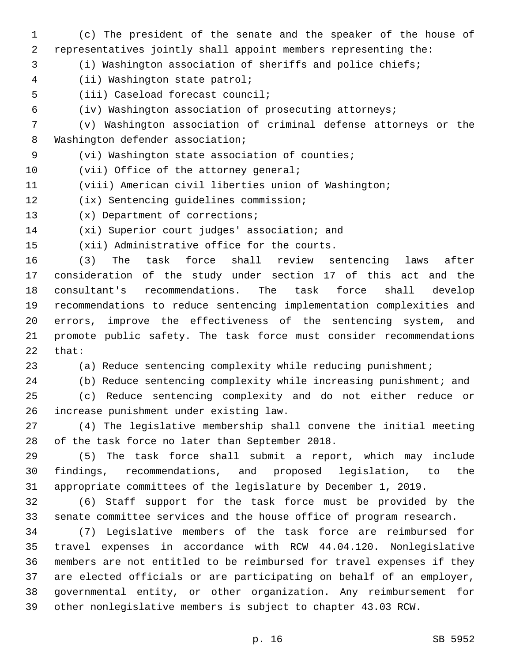- (c) The president of the senate and the speaker of the house of representatives jointly shall appoint members representing the: (i) Washington association of sheriffs and police chiefs; (ii) Washington state patrol;4 5 (iii) Caseload forecast council; (iv) Washington association of prosecuting attorneys; (v) Washington association of criminal defense attorneys or the 8 Washington defender association; (vi) Washington state association of counties;9 10 (vii) Office of the attorney general; (viii) American civil liberties union of Washington; 12 (ix) Sentencing guidelines commission; 13 (x) Department of corrections; 14 (xi) Superior court judges' association; and 15 (xii) Administrative office for the courts. (3) The task force shall review sentencing laws after consideration of the study under section 17 of this act and the consultant's recommendations. The task force shall develop recommendations to reduce sentencing implementation complexities and errors, improve the effectiveness of the sentencing system, and promote public safety. The task force must consider recommendations that: (a) Reduce sentencing complexity while reducing punishment; (b) Reduce sentencing complexity while increasing punishment; and (c) Reduce sentencing complexity and do not either reduce or increase punishment under existing law.26 (4) The legislative membership shall convene the initial meeting 28 of the task force no later than September 2018. (5) The task force shall submit a report, which may include findings, recommendations, and proposed legislation, to the appropriate committees of the legislature by December 1, 2019. (6) Staff support for the task force must be provided by the senate committee services and the house office of program research. (7) Legislative members of the task force are reimbursed for
- travel expenses in accordance with RCW 44.04.120. Nonlegislative members are not entitled to be reimbursed for travel expenses if they are elected officials or are participating on behalf of an employer, governmental entity, or other organization. Any reimbursement for other nonlegislative members is subject to chapter 43.03 RCW.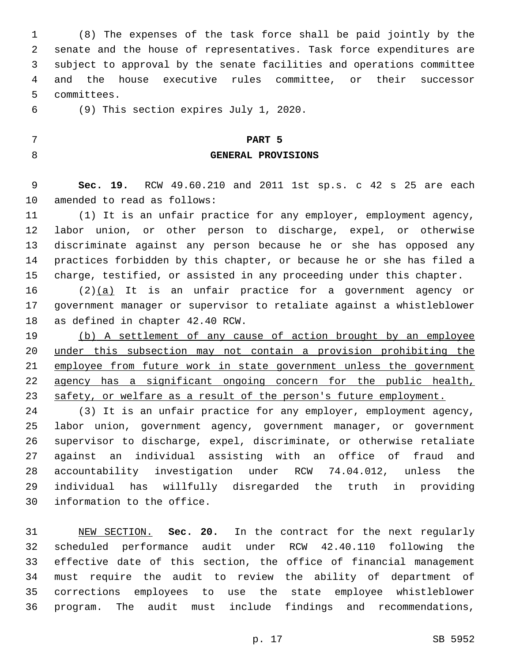(8) The expenses of the task force shall be paid jointly by the senate and the house of representatives. Task force expenditures are subject to approval by the senate facilities and operations committee and the house executive rules committee, or their successor 5 committees.

(9) This section expires July 1, 2020.6

## **PART 5**

#### **GENERAL PROVISIONS**

 **Sec. 19.** RCW 49.60.210 and 2011 1st sp.s. c 42 s 25 are each 10 amended to read as follows:

 (1) It is an unfair practice for any employer, employment agency, labor union, or other person to discharge, expel, or otherwise discriminate against any person because he or she has opposed any practices forbidden by this chapter, or because he or she has filed a charge, testified, or assisted in any proceeding under this chapter.

 (2)(a) It is an unfair practice for a government agency or government manager or supervisor to retaliate against a whistleblower 18 as defined in chapter 42.40 RCW.

 (b) A settlement of any cause of action brought by an employee under this subsection may not contain a provision prohibiting the 21 employee from future work in state government unless the government agency has a significant ongoing concern for the public health, 23 safety, or welfare as a result of the person's future employment.

 (3) It is an unfair practice for any employer, employment agency, labor union, government agency, government manager, or government supervisor to discharge, expel, discriminate, or otherwise retaliate against an individual assisting with an office of fraud and accountability investigation under RCW 74.04.012, unless the individual has willfully disregarded the truth in providing 30 information to the office.

 NEW SECTION. **Sec. 20.** In the contract for the next regularly scheduled performance audit under RCW 42.40.110 following the effective date of this section, the office of financial management must require the audit to review the ability of department of corrections employees to use the state employee whistleblower program. The audit must include findings and recommendations,